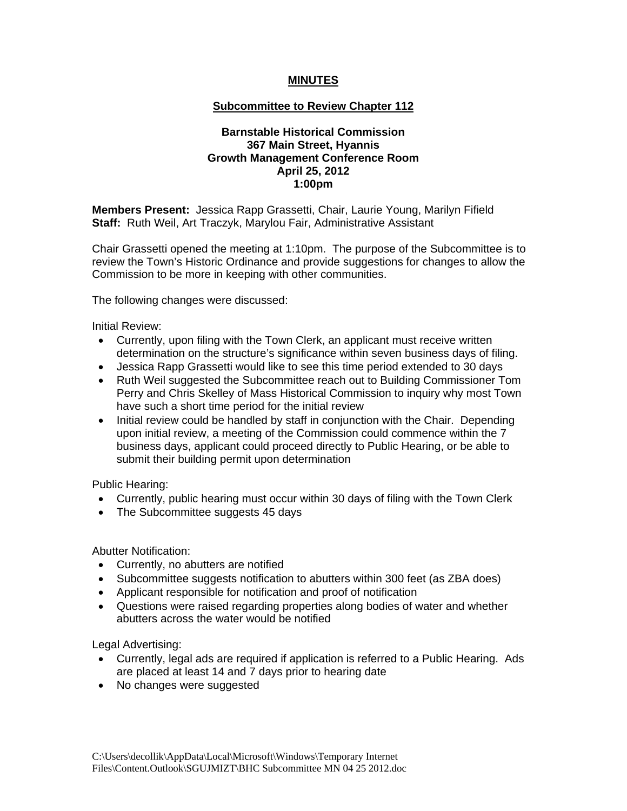## **MINUTES**

## **Subcommittee to Review Chapter 112**

## **Barnstable Historical Commission 367 Main Street, Hyannis Growth Management Conference Room April 25, 2012 1:00pm**

**Members Present:** Jessica Rapp Grassetti, Chair, Laurie Young, Marilyn Fifield **Staff:** Ruth Weil, Art Traczyk, Marylou Fair, Administrative Assistant

Chair Grassetti opened the meeting at 1:10pm. The purpose of the Subcommittee is to review the Town's Historic Ordinance and provide suggestions for changes to allow the Commission to be more in keeping with other communities.

The following changes were discussed:

Initial Review:

- Currently, upon filing with the Town Clerk, an applicant must receive written determination on the structure's significance within seven business days of filing.
- Jessica Rapp Grassetti would like to see this time period extended to 30 days
- Ruth Weil suggested the Subcommittee reach out to Building Commissioner Tom Perry and Chris Skelley of Mass Historical Commission to inquiry why most Town have such a short time period for the initial review
- Initial review could be handled by staff in conjunction with the Chair. Depending upon initial review, a meeting of the Commission could commence within the 7 business days, applicant could proceed directly to Public Hearing, or be able to submit their building permit upon determination

Public Hearing:

- Currently, public hearing must occur within 30 days of filing with the Town Clerk
- The Subcommittee suggests 45 days

Abutter Notification:

- Currently, no abutters are notified
- Subcommittee suggests notification to abutters within 300 feet (as ZBA does)
- Applicant responsible for notification and proof of notification
- Questions were raised regarding properties along bodies of water and whether abutters across the water would be notified

Legal Advertising:

- Currently, legal ads are required if application is referred to a Public Hearing. Ads are placed at least 14 and 7 days prior to hearing date
- No changes were suggested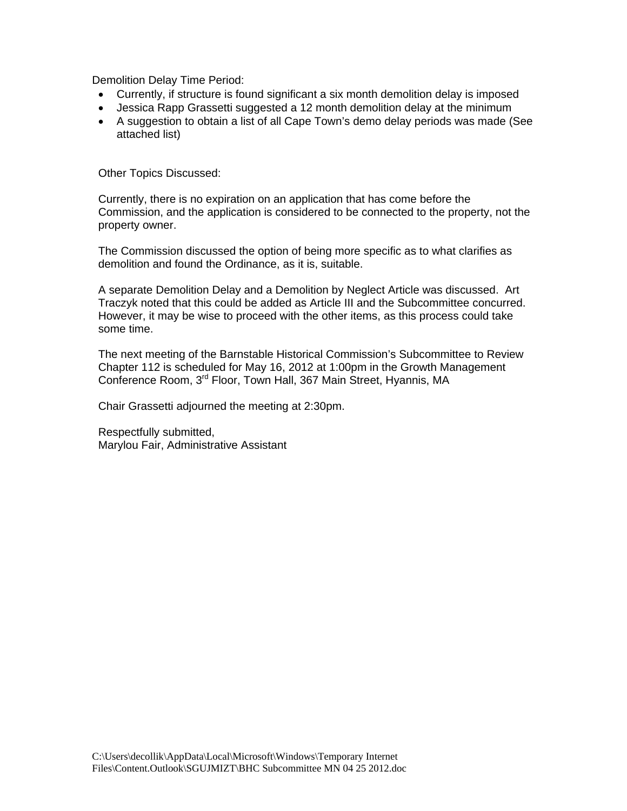Demolition Delay Time Period:

- Currently, if structure is found significant a six month demolition delay is imposed
- Jessica Rapp Grassetti suggested a 12 month demolition delay at the minimum
- A suggestion to obtain a list of all Cape Town's demo delay periods was made (See attached list)

Other Topics Discussed:

Currently, there is no expiration on an application that has come before the Commission, and the application is considered to be connected to the property, not the property owner.

The Commission discussed the option of being more specific as to what clarifies as demolition and found the Ordinance, as it is, suitable.

A separate Demolition Delay and a Demolition by Neglect Article was discussed. Art Traczyk noted that this could be added as Article III and the Subcommittee concurred. However, it may be wise to proceed with the other items, as this process could take some time.

The next meeting of the Barnstable Historical Commission's Subcommittee to Review Chapter 112 is scheduled for May 16, 2012 at 1:00pm in the Growth Management Conference Room, 3rd Floor, Town Hall, 367 Main Street, Hyannis, MA

Chair Grassetti adjourned the meeting at 2:30pm.

Respectfully submitted, Marylou Fair, Administrative Assistant